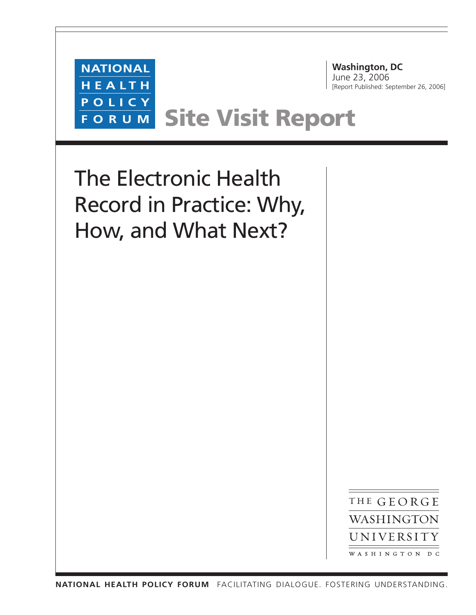

**Washington, DC** June 23, 2006 [Report Published: September 26, 2006]

# **Site Visit Report**

The Electronic Health Record in Practice: Why, How, and What Next?

> THE GEORGE WASHINGTON UNIVERSITY WASHINGTON DC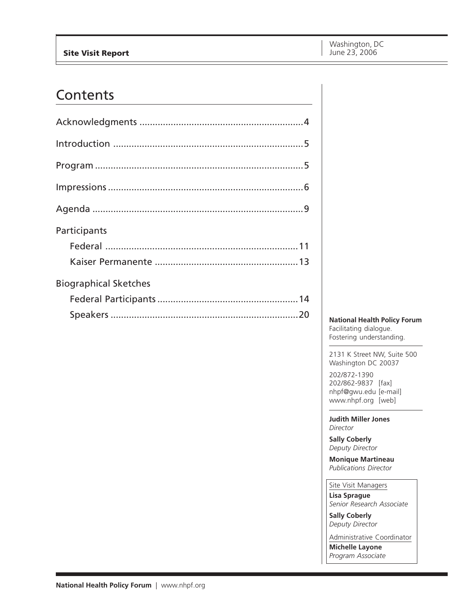## **Site Visit Report**

## **Contents**

| Participants                 |  |
|------------------------------|--|
|                              |  |
|                              |  |
|                              |  |
| <b>Biographical Sketches</b> |  |
|                              |  |

**National Health Policy Forum** Facilitating dialogue. Fostering understanding.

2131 K Street NW, Suite 500 Washington DC 20037

202/872-1390 202/862-9837 [fax] [nhpf@gwu.edu \[e](mailto:nhpf@gwu.edu)-mail] [www.nhpf.org \[](http://www.nhpf.org)web]

**Judith Miller Jones** *Director*

**Sally Coberly** *Deputy Director*

**Monique Martineau** *Publications Director*

Site Visit Managers **Lisa Sprague** *Senior Research Associate*

**Sally Coberly** *Deputy Director*

Administrative Coordinator **Michelle Layone** *Program Associate*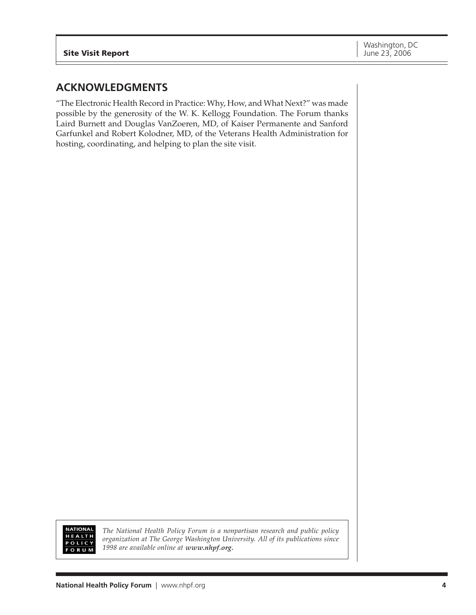## **ACKNOWLEDGMENTS**

"The Electronic Health Record in Practice: Why, How, and What Next?" was made possible by the generosity of the W. K. Kellogg Foundation. The Forum thanks Laird Burnett and Douglas VanZoeren, MD, of Kaiser Permanente and Sanford Garfunkel and Robert Kolodner, MD, of the Veterans Health Administration for hosting, coordinating, and helping to plan the site visit.



*The National Health Policy Forum is a nonpartisan research and public policy organization at The George Washington University. All of its publications since 1998 are available online at [www.nhpf.org.](http://www.nhpf.org)*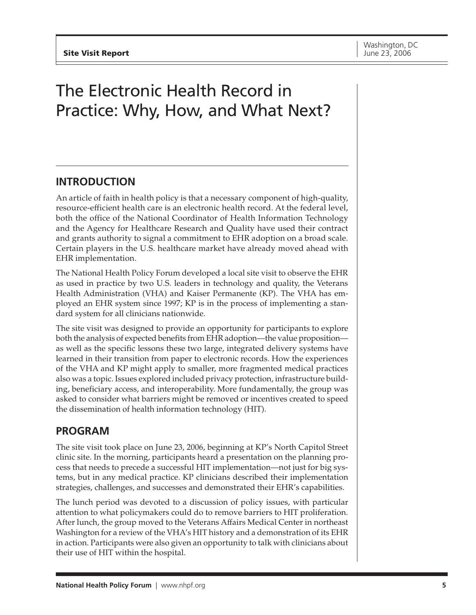## The Electronic Health Record in Practice: Why, How, and What Next?

## **INTRODUCTION**

An article of faith in health policy is that a necessary component of high-quality, resource-efficient health care is an electronic health record. At the federal level, both the office of the National Coordinator of Health Information Technology and the Agency for Healthcare Research and Quality have used their contract and grants authority to signal a commitment to EHR adoption on a broad scale. Certain players in the U.S. healthcare market have already moved ahead with EHR implementation.

The National Health Policy Forum developed a local site visit to observe the EHR as used in practice by two U.S. leaders in technology and quality, the Veterans Health Administration (VHA) and Kaiser Permanente (KP). The VHA has employed an EHR system since 1997; KP is in the process of implementing a standard system for all clinicians nationwide.

The site visit was designed to provide an opportunity for participants to explore both the analysis of expected benefits from EHR adoption—the value proposition as well as the specific lessons these two large, integrated delivery systems have learned in their transition from paper to electronic records. How the experiences of the VHA and KP might apply to smaller, more fragmented medical practices also was a topic. Issues explored included privacy protection, infrastructure building, beneficiary access, and interoperability. More fundamentally, the group was asked to consider what barriers might be removed or incentives created to speed the dissemination of health information technology (HIT).

## **PROGRAM**

The site visit took place on June 23, 2006, beginning at KP's North Capitol Street clinic site. In the morning, participants heard a presentation on the planning process that needs to precede a successful HIT implementation—not just for big systems, but in any medical practice. KP clinicians described their implementation strategies, challenges, and successes and demonstrated their EHR's capabilities.

The lunch period was devoted to a discussion of policy issues, with particular attention to what policymakers could do to remove barriers to HIT proliferation. After lunch, the group moved to the Veterans Affairs Medical Center in northeast Washington for a review of the VHA's HIT history and a demonstration of its EHR in action. Participants were also given an opportunity to talk with clinicians about their use of HIT within the hospital.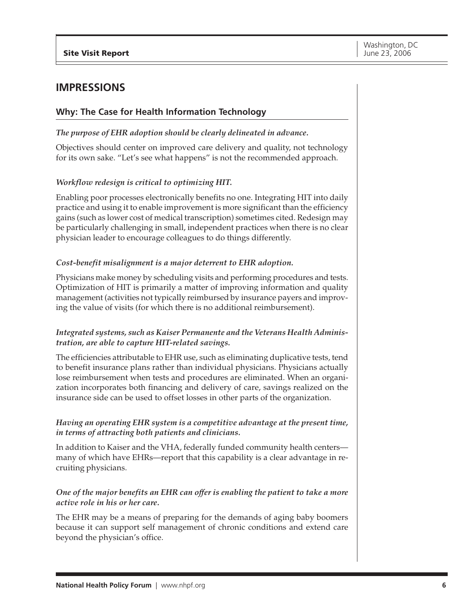## **IMPRESSIONS**

## **Why: The Case for Health Information Technology**

## *The purpose of EHR adoption should be clearly delineated in advance.*

Objectives should center on improved care delivery and quality, not technology for its own sake. "Let's see what happens" is not the recommended approach.

## *Workflow redesign is critical to optimizing HIT.*

Enabling poor processes electronically benefits no one. Integrating HIT into daily practice and using it to enable improvement is more significant than the efficiency gains (such as lower cost of medical transcription) sometimes cited. Redesign may be particularly challenging in small, independent practices when there is no clear physician leader to encourage colleagues to do things differently.

## *Cost-benefit misalignment is a major deterrent to EHR adoption.*

Physicians make money by scheduling visits and performing procedures and tests. Optimization of HIT is primarily a matter of improving information and quality management (activities not typically reimbursed by insurance payers and improving the value of visits (for which there is no additional reimbursement).

## *Integrated systems, such as Kaiser Permanente and the Veterans Health Administration, are able to capture HIT-related savings.*

The efficiencies attributable to EHR use, such as eliminating duplicative tests, tend to benefit insurance plans rather than individual physicians. Physicians actually lose reimbursement when tests and procedures are eliminated. When an organization incorporates both financing and delivery of care, savings realized on the insurance side can be used to offset losses in other parts of the organization.

## *Having an operating EHR system is a competitive advantage at the present time, in terms of attracting both patients and clinicians.*

In addition to Kaiser and the VHA, federally funded community health centers many of which have EHRs—report that this capability is a clear advantage in recruiting physicians.

## *One of the major benefits an EHR can offer is enabling the patient to take a more active role in his or her care.*

The EHR may be a means of preparing for the demands of aging baby boomers because it can support self management of chronic conditions and extend care beyond the physician's office.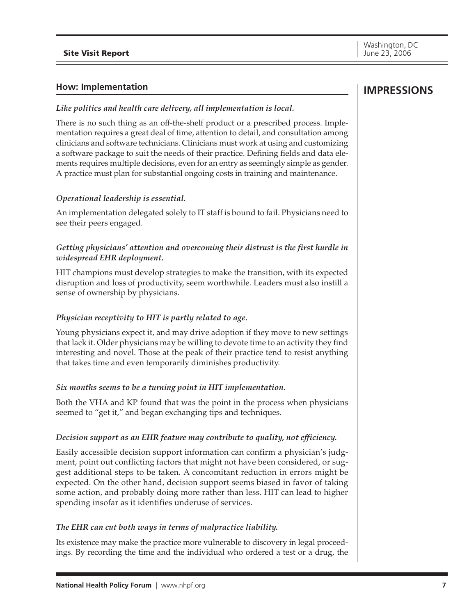#### **How: Implementation**

#### *Like politics and health care delivery, all implementation is local.*

There is no such thing as an off-the-shelf product or a prescribed process. Implementation requires a great deal of time, attention to detail, and consultation among clinicians and software technicians. Clinicians must work at using and customizing a software package to suit the needs of their practice. Defining fields and data elements requires multiple decisions, even for an entry as seemingly simple as gender. A practice must plan for substantial ongoing costs in training and maintenance.

#### *Operational leadership is essential.*

An implementation delegated solely to IT staff is bound to fail. Physicians need to see their peers engaged.

## *Getting physicians' attention and overcoming their distrust is the first hurdle in widespread EHR deployment.*

HIT champions must develop strategies to make the transition, with its expected disruption and loss of productivity, seem worthwhile. Leaders must also instill a sense of ownership by physicians.

#### *Physician receptivity to HIT is partly related to age.*

Young physicians expect it, and may drive adoption if they move to new settings that lack it. Older physicians may be willing to devote time to an activity they find interesting and novel. Those at the peak of their practice tend to resist anything that takes time and even temporarily diminishes productivity.

#### *Six months seems to be a turning point in HIT implementation.*

Both the VHA and KP found that was the point in the process when physicians seemed to "get it," and began exchanging tips and techniques.

#### *Decision support as an EHR feature may contribute to quality, not efficiency.*

Easily accessible decision support information can confirm a physician's judgment, point out conflicting factors that might not have been considered, or suggest additional steps to be taken. A concomitant reduction in errors might be expected. On the other hand, decision support seems biased in favor of taking some action, and probably doing more rather than less. HIT can lead to higher spending insofar as it identifies underuse of services.

#### *The EHR can cut both ways in terms of malpractice liability.*

Its existence may make the practice more vulnerable to discovery in legal proceedings. By recording the time and the individual who ordered a test or a drug, the

## **IMPRESSIONS**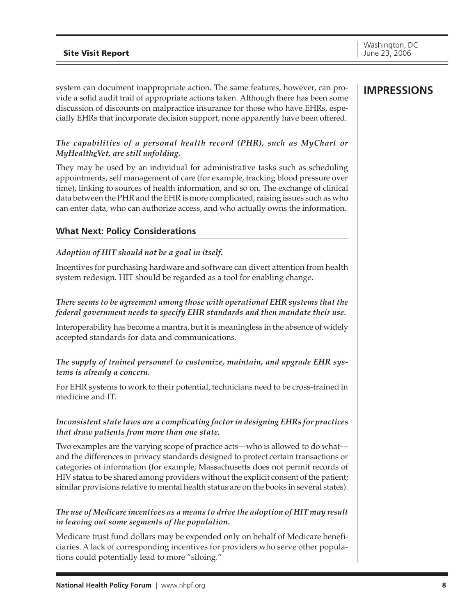system can document inappropriate action. The same features, however, can provide a solid audit trail of appropriate actions taken. Although there has been some discussion of discounts on malpractice insurance for those who have EHRs, especially EHRs that incorporate decision support, none apparently have been offered.

## *The capabilities of a personal health record (PHR), such as MyChart or MyHealtheVet, are still unfolding.*

They may be used by an individual for administrative tasks such as scheduling appointments, self management of care (for example, tracking blood pressure over time), linking to sources of health information, and so on. The exchange of clinical data between the PHR and the EHR is more complicated, raising issues such as who can enter data, who can authorize access, and who actually owns the information.

## **What Next: Policy Considerations**

## *Adoption of HIT should not be a goal in itself.*

Incentives for purchasing hardware and software can divert attention from health system redesign. HIT should be regarded as a tool for enabling change.

## *There seems to be agreement among those with operational EHR systems that the federal government needs to specify EHR standards and then mandate their use.*

Interoperability has become a mantra, but it is meaningless in the absence of widely accepted standards for data and communications.

## *The supply of trained personnel to customize, maintain, and upgrade EHR systems is already a concern.*

For EHR systems to work to their potential, technicians need to be cross-trained in medicine and IT.

## *Inconsistent state laws are a complicating factor in designing EHRs for practices that draw patients from more than one state.*

Two examples are the varying scope of practice acts—who is allowed to do what and the differences in privacy standards designed to protect certain transactions or categories of information (for example, Massachusetts does not permit records of HIV status to be shared among providers without the explicit consent of the patient; similar provisions relative to mental health status are on the books in several states).

## *The use of Medicare incentives as a means to drive the adoption of HIT may result in leaving out some segments of the population.*

Medicare trust fund dollars may be expended only on behalf of Medicare beneficiaries. A lack of corresponding incentives for providers who serve other populations could potentially lead to more "siloing."

## **IMPRESSIONS**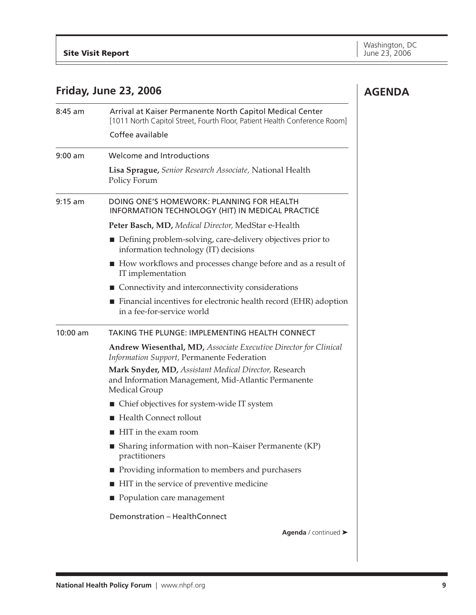**AGENDA**

## **Friday, June 23, 2006**

| $8:45$ am  | Arrival at Kaiser Permanente North Capitol Medical Center<br>[1011 North Capitol Street, Fourth Floor, Patient Health Conference Room] |
|------------|----------------------------------------------------------------------------------------------------------------------------------------|
|            | Coffee available                                                                                                                       |
| $9:00$ am  | Welcome and Introductions                                                                                                              |
|            | Lisa Sprague, Senior Research Associate, National Health<br>Policy Forum                                                               |
| $9:15$ am  | DOING ONE'S HOMEWORK: PLANNING FOR HEALTH<br>INFORMATION TECHNOLOGY (HIT) IN MEDICAL PRACTICE                                          |
|            | Peter Basch, MD, Medical Director, MedStar e-Health                                                                                    |
|            | • Defining problem-solving, care-delivery objectives prior to<br>information technology (IT) decisions                                 |
|            | ■ How workflows and processes change before and as a result of<br>IT implementation                                                    |
|            | ■ Connectivity and interconnectivity considerations                                                                                    |
|            | Financial incentives for electronic health record (EHR) adoption<br>in a fee-for-service world                                         |
| $10:00$ am | TAKING THE PLUNGE: IMPLEMENTING HEALTH CONNECT                                                                                         |
|            | <b>Andrew Wiesenthal, MD, Associate Executive Director for Clinical</b><br>Information Support, Permanente Federation                  |
|            | Mark Snyder, MD, Assistant Medical Director, Research<br>and Information Management, Mid-Atlantic Permanente<br>Medical Group          |
|            | ■ Chief objectives for system-wide IT system                                                                                           |
|            | Health Connect rollout                                                                                                                 |
|            | HIT in the exam room                                                                                                                   |
|            | ■ Sharing information with non-Kaiser Permanente $(KP)$<br>practitioners                                                               |
|            | Providing information to members and purchasers                                                                                        |
|            | ■ HIT in the service of preventive medicine                                                                                            |
|            | Population care management                                                                                                             |
|            | Demonstration - HealthConnect                                                                                                          |
|            | Agenda / continued >                                                                                                                   |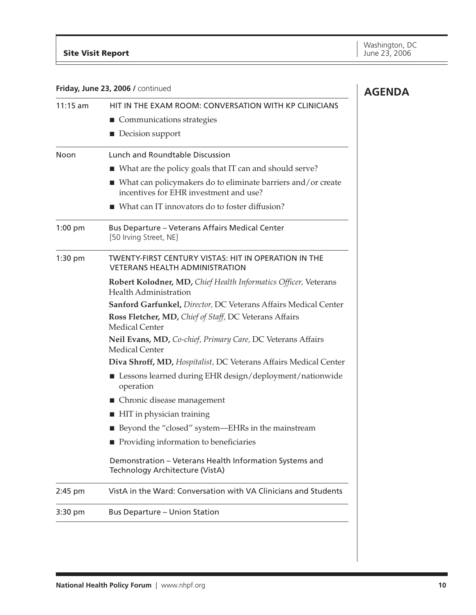**AGENDA**

## **Site Visit Report**

**Friday, June 23, 2006 /** continued

| $11:15$ am | HIT IN THE EXAM ROOM: CONVERSATION WITH KP CLINICIANS                                                                 |
|------------|-----------------------------------------------------------------------------------------------------------------------|
|            | ■ Communications strategies                                                                                           |
|            | Decision support                                                                                                      |
| Noon       | Lunch and Roundtable Discussion                                                                                       |
|            | ■ What are the policy goals that IT can and should serve?                                                             |
|            | $\blacksquare$ What can policymakers do to eliminate barriers and/or create<br>incentives for EHR investment and use? |
|            | ■ What can IT innovators do to foster diffusion?                                                                      |
| $1:00$ pm  | <b>Bus Departure - Veterans Affairs Medical Center</b><br>[50 Irving Street, NE]                                      |
| $1:30$ pm  | <b>TWENTY-FIRST CENTURY VISTAS: HIT IN OPERATION IN THE</b><br><b>VETERANS HEALTH ADMINISTRATION</b>                  |
|            | Robert Kolodner, MD, Chief Health Informatics Officer, Veterans<br><b>Health Administration</b>                       |
|            | Sanford Garfunkel, Director, DC Veterans Affairs Medical Center                                                       |
|            | Ross Fletcher, MD, Chief of Staff, DC Veterans Affairs<br><b>Medical Center</b>                                       |
|            | Neil Evans, MD, Co-chief, Primary Care, DC Veterans Affairs<br><b>Medical Center</b>                                  |
|            | Diva Shroff, MD, Hospitalist, DC Veterans Affairs Medical Center                                                      |
|            | ■ Lessons learned during EHR design/deployment/nationwide<br>operation                                                |
|            | ■ Chronic disease management                                                                                          |
|            | ■ HIT in physician training                                                                                           |
|            | Beyond the "closed" system-EHRs in the mainstream                                                                     |
|            | Providing information to beneficiaries                                                                                |
|            | Demonstration - Veterans Health Information Systems and<br>Technology Architecture (VistA)                            |
| $2:45$ pm  | VistA in the Ward: Conversation with VA Clinicians and Students                                                       |
| 3:30 pm    | <b>Bus Departure - Union Station</b>                                                                                  |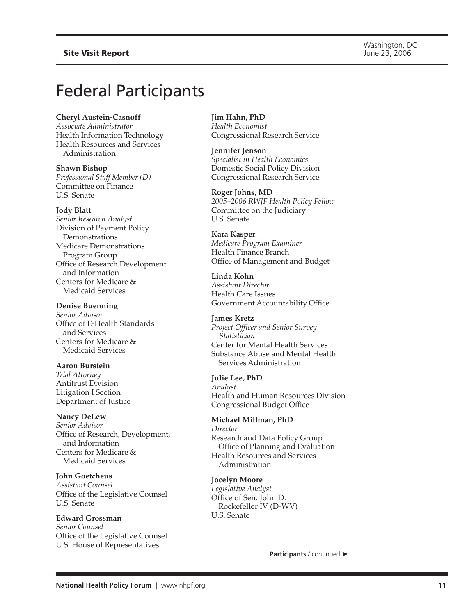## Federal Participants

**Cheryl Austein-Casnoff** *Associate Administrator*

Health Information Technology Health Resources and Services Administration

**Shawn Bishop** *Professional Staff Member (D)* Committee on Finance U.S. Senate

**Jody Blatt**

*Senior Research Analyst* Division of Payment Policy Demonstrations Medicare Demonstrations Program Group Office of Research Development and Information Centers for Medicare & Medicaid Services

**Denise Buenning** *Senior Advisor* Office of E-Health Standards and Services Centers for Medicare & Medicaid Services

**Aaron Burstein** *Trial Attorney* Antitrust Division Litigation I Section Department of Justice

**Nancy DeLew** *Senior Advisor* Office of Research, Development, and Information Centers for Medicare & Medicaid Services

**John Goetcheus** *Assistant Counsel* Office of the Legislative Counsel U.S. Senate

**Edward Grossman** *Senior Counsel* Office of the Legislative Counsel U.S. House of Representatives

**Jim Hahn, PhD** *Health Economist* Congressional Research Service

**Jennifer Jenson** *Specialist in Health Economics* Domestic Social Policy Division Congressional Research Service

**Roger Johns, MD** *2005–2006 RWJF Health Policy Fellow* Committee on the Judiciary U.S. Senate

**Kara Kasper** *Medicare Program Examiner* Health Finance Branch Office of Management and Budget

**Linda Kohn** *Assistant Director* Health Care Issues Government Accountability Office

**James Kretz** *Project Officer and Senior Survey Statistician* Center for Mental Health Services Substance Abuse and Mental Health Services Administration

**Julie Lee, PhD** *Analyst* Health and Human Resources Division Congressional Budget Office

**Michael Millman, PhD** *Director* Research and Data Policy Group Office of Planning and Evaluation Health Resources and Services Administration

**Jocelyn Moore** *Legislative Analyst* Office of Sen. John D. Rockefeller IV (D-WV) U.S. Senate

**Participants** / continued ▶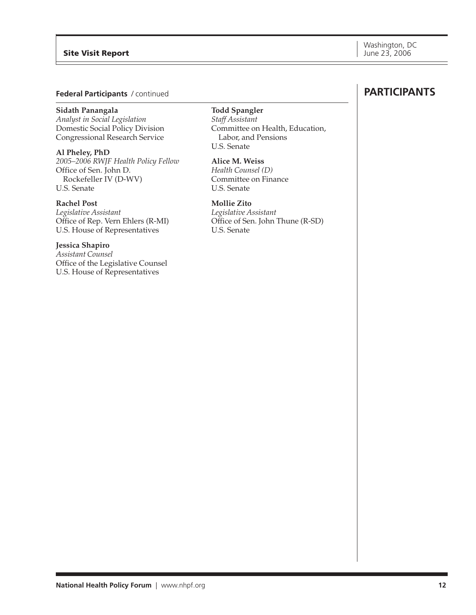#### **Site Visit Report**

#### **Federal Participants** / continued

#### **Sidath Panangala**

*Analyst in Social Legislation* Domestic Social Policy Division Congressional Research Service

**Al Pheley, PhD** *2005–2006 RWJF Health Policy Fellow* Office of Sen. John D. Rockefeller IV (D-WV) U.S. Senate

#### **Rachel Post**

*Legislative Assistant* Office of Rep. Vern Ehlers (R-MI) U.S. House of Representatives

#### **Jessica Shapiro**

*Assistant Counsel* Office of the Legislative Counsel U.S. House of Representatives

## **Todd Spangler**

*Staff Assistant* Committee on Health, Education, Labor, and Pensions U.S. Senate

#### **Alice M. Weiss**

*Health Counsel (D)* Committee on Finance U.S. Senate

#### **Mollie Zito**

*Legislative Assistant* Office of Sen. John Thune (R-SD) U.S. Senate

## **PARTICIPANTS**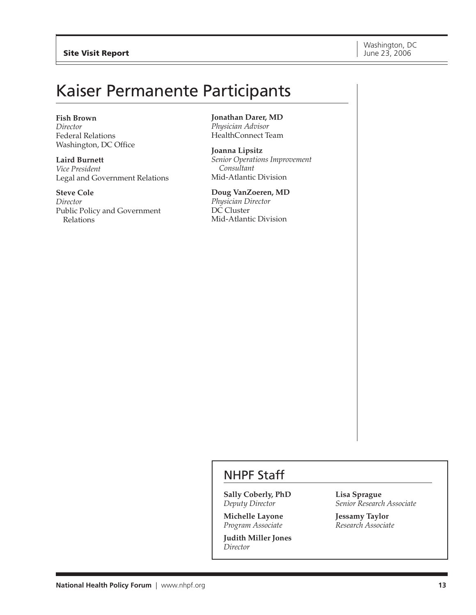## Kaiser Permanente Participants

#### **Fish Brown**

*Director* Federal Relations Washington, DC Office

**Laird Burnett** *Vice President* Legal and Government Relations

**Steve Cole** *Director* Public Policy and Government Relations

**Jonathan Darer, MD** *Physician Advisor* HealthConnect Team

**Joanna Lipsitz** *Senior Operations Improvement Consultant* Mid-Atlantic Division

**Doug VanZoeren, MD** *Physician Director* DC Cluster Mid-Atlantic Division

## NHPF Staff

**Sally Coberly, PhD** *Deputy Director*

**Michelle Layone** *Program Associate*

**Judith Miller Jones** *Director*

**Lisa Sprague** *Senior Research Associate*

**Jessamy Taylor** *Research Associate*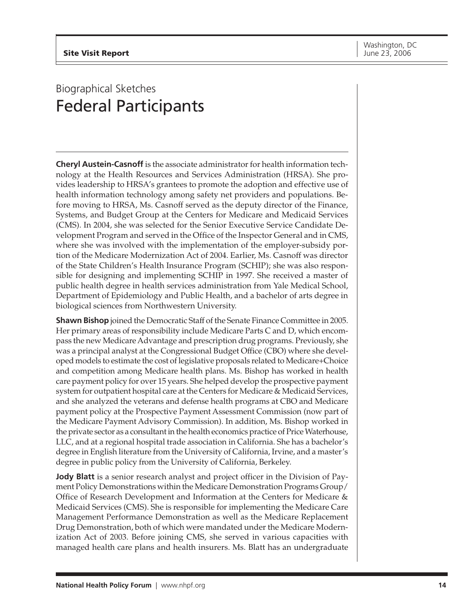## Biographical Sketches Federal Participants

**Cheryl Austein-Casnoff** is the associate administrator for health information technology at the Health Resources and Services Administration (HRSA). She provides leadership to HRSA's grantees to promote the adoption and effective use of health information technology among safety net providers and populations. Before moving to HRSA, Ms. Casnoff served as the deputy director of the Finance, Systems, and Budget Group at the Centers for Medicare and Medicaid Services (CMS). In 2004, she was selected for the Senior Executive Service Candidate Development Program and served in the Office of the Inspector General and in CMS, where she was involved with the implementation of the employer-subsidy portion of the Medicare Modernization Act of 2004. Earlier, Ms. Casnoff was director of the State Children's Health Insurance Program (SCHIP); she was also responsible for designing and implementing SCHIP in 1997. She received a master of public health degree in health services administration from Yale Medical School, Department of Epidemiology and Public Health, and a bachelor of arts degree in biological sciences from Northwestern University.

**Shawn Bishop** joined the Democratic Staff of the Senate Finance Committee in 2005. Her primary areas of responsibility include Medicare Parts C and D, which encompass the new Medicare Advantage and prescription drug programs. Previously, she was a principal analyst at the Congressional Budget Office (CBO) where she developed models to estimate the cost of legislative proposals related to Medicare+Choice and competition among Medicare health plans. Ms. Bishop has worked in health care payment policy for over 15 years. She helped develop the prospective payment system for outpatient hospital care at the Centers for Medicare & Medicaid Services, and she analyzed the veterans and defense health programs at CBO and Medicare payment policy at the Prospective Payment Assessment Commission (now part of the Medicare Payment Advisory Commission). In addition, Ms. Bishop worked in the private sector as a consultant in the health economics practice of Price Waterhouse, LLC, and at a regional hospital trade association in California. She has a bachelor's degree in English literature from the University of California, Irvine, and a master's degree in public policy from the University of California, Berkeley.

**Jody Blatt** is a senior research analyst and project officer in the Division of Payment Policy Demonstrations within the Medicare Demonstration Programs Group/ Office of Research Development and Information at the Centers for Medicare & Medicaid Services (CMS). She is responsible for implementing the Medicare Care Management Performance Demonstration as well as the Medicare Replacement Drug Demonstration, both of which were mandated under the Medicare Modernization Act of 2003. Before joining CMS, she served in various capacities with managed health care plans and health insurers. Ms. Blatt has an undergraduate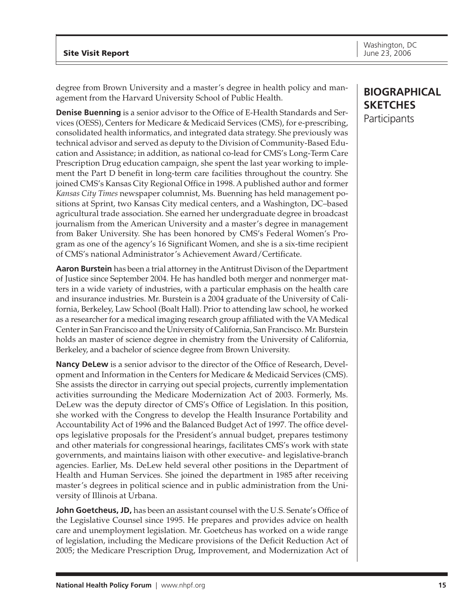degree from Brown University and a master's degree in health policy and management from the Harvard University School of Public Health.

**Denise Buenning** is a senior advisor to the Office of E-Health Standards and Services (OESS), Centers for Medicare & Medicaid Services (CMS), for e-prescribing, consolidated health informatics, and integrated data strategy. She previously was technical advisor and served as deputy to the Division of Community-Based Education and Assistance; in addition, as national co-lead for CMS's Long-Term Care Prescription Drug education campaign, she spent the last year working to implement the Part D benefit in long-term care facilities throughout the country. She joined CMS's Kansas City Regional Office in 1998. A published author and former *Kansas City Times* newspaper columnist, Ms. Buenning has held management positions at Sprint, two Kansas City medical centers, and a Washington, DC–based agricultural trade association. She earned her undergraduate degree in broadcast journalism from the American University and a master's degree in management from Baker University. She has been honored by CMS's Federal Women's Program as one of the agency's 16 Significant Women, and she is a six-time recipient of CMS's national Administrator's Achievement Award/Certificate.

**Aaron Burstein** has been a trial attorney in the Antitrust Divison of the Department of Justice since September 2004. He has handled both merger and nonmerger matters in a wide variety of industries, with a particular emphasis on the health care and insurance industries. Mr. Burstein is a 2004 graduate of the University of California, Berkeley, Law School (Boalt Hall). Prior to attending law school, he worked as a researcher for a medical imaging research group affiliated with the VA Medical Center in San Francisco and the University of California, San Francisco. Mr. Burstein holds an master of science degree in chemistry from the University of California, Berkeley, and a bachelor of science degree from Brown University.

**Nancy DeLew** is a senior advisor to the director of the Office of Research, Development and Information in the Centers for Medicare & Medicaid Services (CMS). She assists the director in carrying out special projects, currently implementation activities surrounding the Medicare Modernization Act of 2003. Formerly, Ms. DeLew was the deputy director of CMS's Office of Legislation. In this position, she worked with the Congress to develop the Health Insurance Portability and Accountability Act of 1996 and the Balanced Budget Act of 1997. The office develops legislative proposals for the President's annual budget, prepares testimony and other materials for congressional hearings, facilitates CMS's work with state governments, and maintains liaison with other executive- and legislative-branch agencies. Earlier, Ms. DeLew held several other positions in the Department of Health and Human Services. She joined the department in 1985 after receiving master's degrees in political science and in public administration from the University of Illinois at Urbana.

**John Goetcheus, JD,** has been an assistant counsel with the U.S. Senate's Office of the Legislative Counsel since 1995. He prepares and provides advice on health care and unemployment legislation. Mr. Goetcheus has worked on a wide range of legislation, including the Medicare provisions of the Deficit Reduction Act of 2005; the Medicare Prescription Drug, Improvement, and Modernization Act of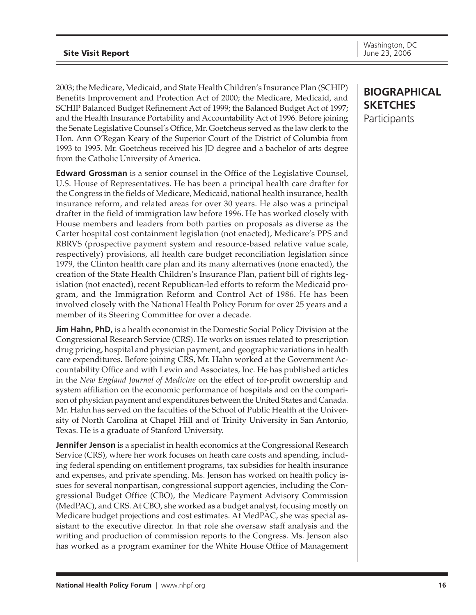2003; the Medicare, Medicaid, and State Health Children's Insurance Plan (SCHIP) Benefits Improvement and Protection Act of 2000; the Medicare, Medicaid, and SCHIP Balanced Budget Refinement Act of 1999; the Balanced Budget Act of 1997; and the Health Insurance Portability and Accountability Act of 1996. Before joining the Senate Legislative Counsel's Office, Mr. Goetcheus served as the law clerk to the Hon. Ann O'Regan Keary of the Superior Court of the District of Columbia from 1993 to 1995. Mr. Goetcheus received his JD degree and a bachelor of arts degree from the Catholic University of America.

**Edward Grossman** is a senior counsel in the Office of the Legislative Counsel, U.S. House of Representatives. He has been a principal health care drafter for the Congress in the fields of Medicare, Medicaid, national health insurance, health insurance reform, and related areas for over 30 years. He also was a principal drafter in the field of immigration law before 1996. He has worked closely with House members and leaders from both parties on proposals as diverse as the Carter hospital cost containment legislation (not enacted), Medicare's PPS and RBRVS (prospective payment system and resource-based relative value scale, respectively) provisions, all health care budget reconciliation legislation since 1979, the Clinton health care plan and its many alternatives (none enacted), the creation of the State Health Children's Insurance Plan, patient bill of rights legislation (not enacted), recent Republican-led efforts to reform the Medicaid program, and the Immigration Reform and Control Act of 1986. He has been involved closely with the National Health Policy Forum for over 25 years and a member of its Steering Committee for over a decade.

**Jim Hahn, PhD,** is a health economist in the Domestic Social Policy Division at the Congressional Research Service (CRS). He works on issues related to prescription drug pricing, hospital and physician payment, and geographic variations in health care expenditures. Before joining CRS, Mr. Hahn worked at the Government Accountability Office and with Lewin and Associates, Inc. He has published articles in the *New England Journal of Medicine* on the effect of for-profit ownership and system affiliation on the economic performance of hospitals and on the comparison of physician payment and expenditures between the United States and Canada. Mr. Hahn has served on the faculties of the School of Public Health at the University of North Carolina at Chapel Hill and of Trinity University in San Antonio, Texas. He is a graduate of Stanford University.

**Jennifer Jenson** is a specialist in health economics at the Congressional Research Service (CRS), where her work focuses on heath care costs and spending, including federal spending on entitlement programs, tax subsidies for health insurance and expenses, and private spending. Ms. Jenson has worked on health policy issues for several nonpartisan, congressional support agencies, including the Congressional Budget Office (CBO), the Medicare Payment Advisory Commission (MedPAC), and CRS. At CBO, she worked as a budget analyst, focusing mostly on Medicare budget projections and cost estimates. At MedPAC, she was special assistant to the executive director. In that role she oversaw staff analysis and the writing and production of commission reports to the Congress. Ms. Jenson also has worked as a program examiner for the White House Office of Management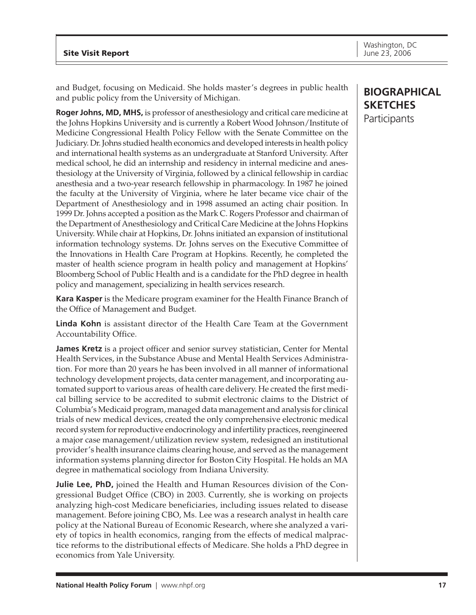and Budget, focusing on Medicaid. She holds master's degrees in public health and public policy from the University of Michigan.

**Roger Johns, MD, MHS,** is professor of anesthesiology and critical care medicine at the Johns Hopkins University and is currently a Robert Wood Johnson/Institute of Medicine Congressional Health Policy Fellow with the Senate Committee on the Judiciary. Dr. Johns studied health economics and developed interests in health policy and international health systems as an undergraduate at Stanford University. After medical school, he did an internship and residency in internal medicine and anesthesiology at the University of Virginia, followed by a clinical fellowship in cardiac anesthesia and a two-year research fellowship in pharmacology. In 1987 he joined the faculty at the University of Virginia, where he later became vice chair of the Department of Anesthesiology and in 1998 assumed an acting chair position. In 1999 Dr. Johns accepted a position as the Mark C. Rogers Professor and chairman of the Department of Anesthesiology and Critical Care Medicine at the Johns Hopkins University. While chair at Hopkins, Dr. Johns initiated an expansion of institutional information technology systems. Dr. Johns serves on the Executive Committee of the Innovations in Health Care Program at Hopkins. Recently, he completed the master of health science program in health policy and management at Hopkins' Bloomberg School of Public Health and is a candidate for the PhD degree in health policy and management, specializing in health services research.

**Kara Kasper** is the Medicare program examiner for the Health Finance Branch of the Office of Management and Budget.

**Linda Kohn** is assistant director of the Health Care Team at the Government Accountability Office.

**James Kretz** is a project officer and senior survey statistician, Center for Mental Health Services, in the Substance Abuse and Mental Health Services Administration. For more than 20 years he has been involved in all manner of informational technology development projects, data center management, and incorporating automated support to various areas of health care delivery. He created the first medical billing service to be accredited to submit electronic claims to the District of Columbia's Medicaid program, managed data management and analysis for clinical trials of new medical devices, created the only comprehensive electronic medical record system for reproductive endocrinology and infertility practices, reengineered a major case management/utilization review system, redesigned an institutional provider's health insurance claims clearing house, and served as the management information systems planning director for Boston City Hospital. He holds an MA degree in mathematical sociology from Indiana University.

**Julie Lee, PhD,** joined the Health and Human Resources division of the Congressional Budget Office (CBO) in 2003. Currently, she is working on projects analyzing high-cost Medicare beneficiaries, including issues related to disease management. Before joining CBO, Ms. Lee was a research analyst in health care policy at the National Bureau of Economic Research, where she analyzed a variety of topics in health economics, ranging from the effects of medical malpractice reforms to the distributional effects of Medicare. She holds a PhD degree in economics from Yale University.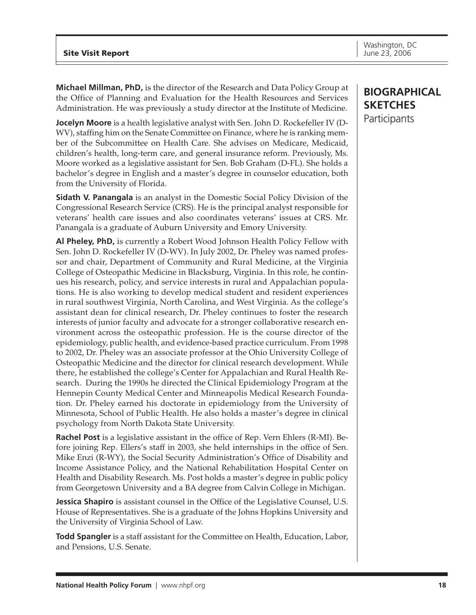**Michael Millman, PhD,** is the director of the Research and Data Policy Group at the Office of Planning and Evaluation for the Health Resources and Services Administration. He was previously a study director at the Institute of Medicine.

**Jocelyn Moore** is a health legislative analyst with Sen. John D. Rockefeller IV (D-WV), staffing him on the Senate Committee on Finance, where he is ranking member of the Subcommittee on Health Care. She advises on Medicare, Medicaid, children's health, long-term care, and general insurance reform. Previously, Ms. Moore worked as a legislative assistant for Sen. Bob Graham (D-FL). She holds a bachelor's degree in English and a master's degree in counselor education, both from the University of Florida.

**Sidath V. Panangala** is an analyst in the Domestic Social Policy Division of the Congressional Research Service (CRS). He is the principal analyst responsible for veterans' health care issues and also coordinates veterans' issues at CRS. Mr. Panangala is a graduate of Auburn University and Emory University.

**Al Pheley, PhD,** is currently a Robert Wood Johnson Health Policy Fellow with Sen. John D. Rockefeller IV (D-WV). In July 2002, Dr. Pheley was named professor and chair, Department of Community and Rural Medicine, at the Virginia College of Osteopathic Medicine in Blacksburg, Virginia. In this role, he continues his research, policy, and service interests in rural and Appalachian populations. He is also working to develop medical student and resident experiences in rural southwest Virginia, North Carolina, and West Virginia. As the college's assistant dean for clinical research, Dr. Pheley continues to foster the research interests of junior faculty and advocate for a stronger collaborative research environment across the osteopathic profession. He is the course director of the epidemiology, public health, and evidence-based practice curriculum. From 1998 to 2002, Dr. Pheley was an associate professor at the Ohio University College of Osteopathic Medicine and the director for clinical research development. While there, he established the college's Center for Appalachian and Rural Health Research. During the 1990s he directed the Clinical Epidemiology Program at the Hennepin County Medical Center and Minneapolis Medical Research Foundation. Dr. Pheley earned his doctorate in epidemiology from the University of Minnesota, School of Public Health. He also holds a master's degree in clinical psychology from North Dakota State University.

**Rachel Post** is a legislative assistant in the office of Rep. Vern Ehlers (R-MI). Before joining Rep. Ellers's staff in 2003, she held internships in the office of Sen. Mike Enzi (R-WY), the Social Security Administration's Office of Disability and Income Assistance Policy, and the National Rehabilitation Hospital Center on Health and Disability Research. Ms. Post holds a master's degree in public policy from Georgetown University and a BA degree from Calvin College in Michigan.

**Jessica Shapiro** is assistant counsel in the Office of the Legislative Counsel, U.S. House of Representatives. She is a graduate of the Johns Hopkins University and the University of Virginia School of Law.

**Todd Spangler** is a staff assistant for the Committee on Health, Education, Labor, and Pensions, U.S. Senate.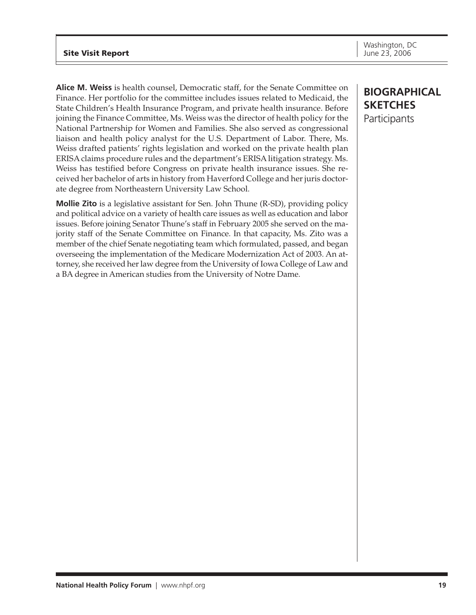## **Site Visit Report Site Visit Report June 23, 2006**

**Alice M. Weiss** is health counsel, Democratic staff, for the Senate Committee on Finance. Her portfolio for the committee includes issues related to Medicaid, the State Children's Health Insurance Program, and private health insurance. Before joining the Finance Committee, Ms. Weiss was the director of health policy for the National Partnership for Women and Families. She also served as congressional liaison and health policy analyst for the U.S. Department of Labor. There, Ms. Weiss drafted patients' rights legislation and worked on the private health plan ERISA claims procedure rules and the department's ERISA litigation strategy. Ms. Weiss has testified before Congress on private health insurance issues. She received her bachelor of arts in history from Haverford College and her juris doctorate degree from Northeastern University Law School.

**Mollie Zito** is a legislative assistant for Sen. John Thune (R-SD), providing policy and political advice on a variety of health care issues as well as education and labor issues. Before joining Senator Thune's staff in February 2005 she served on the majority staff of the Senate Committee on Finance. In that capacity, Ms. Zito was a member of the chief Senate negotiating team which formulated, passed, and began overseeing the implementation of the Medicare Modernization Act of 2003. An attorney, she received her law degree from the University of Iowa College of Law and a BA degree in American studies from the University of Notre Dame.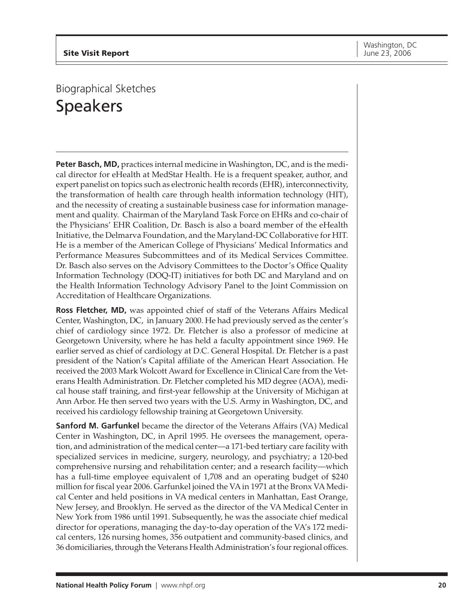## Biographical Sketches Speakers

**Peter Basch, MD,** practices internal medicine in Washington, DC, and is the medical director for eHealth at MedStar Health. He is a frequent speaker, author, and expert panelist on topics such as electronic health records (EHR), interconnectivity, the transformation of health care through health information technology (HIT), and the necessity of creating a sustainable business case for information management and quality. Chairman of the Maryland Task Force on EHRs and co-chair of the Physicians' EHR Coalition, Dr. Basch is also a board member of the eHealth Initiative, the Delmarva Foundation, and the Maryland-DC Collaborative for HIT. He is a member of the American College of Physicians' Medical Informatics and Performance Measures Subcommittees and of its Medical Services Committee. Dr. Basch also serves on the Advisory Committees to the Doctor's Office Quality Information Technology (DOQ-IT) initiatives for both DC and Maryland and on the Health Information Technology Advisory Panel to the Joint Commission on Accreditation of Healthcare Organizations.

**Ross Fletcher, MD,** was appointed chief of staff of the Veterans Affairs Medical Center, Washington, DC, in January 2000. He had previously served as the center's chief of cardiology since 1972. Dr. Fletcher is also a professor of medicine at Georgetown University, where he has held a faculty appointment since 1969. He earlier served as chief of cardiology at D.C. General Hospital. Dr. Fletcher is a past president of the Nation's Capital affiliate of the American Heart Association. He received the 2003 Mark Wolcott Award for Excellence in Clinical Care from the Veterans Health Administration. Dr. Fletcher completed his MD degree (AOA), medical house staff training, and first-year fellowship at the University of Michigan at Ann Arbor. He then served two years with the U.S. Army in Washington, DC, and received his cardiology fellowship training at Georgetown University.

**Sanford M. Garfunkel** became the director of the Veterans Affairs (VA) Medical Center in Washington, DC, in April 1995. He oversees the management, operation, and administration of the medical center—a 171-bed tertiary care facility with specialized services in medicine, surgery, neurology, and psychiatry; a 120-bed comprehensive nursing and rehabilitation center; and a research facility—which has a full-time employee equivalent of 1,708 and an operating budget of \$240 million for fiscal year 2006. Garfunkel joined the VA in 1971 at the Bronx VA Medical Center and held positions in VA medical centers in Manhattan, East Orange, New Jersey, and Brooklyn. He served as the director of the VA Medical Center in New York from 1986 until 1991. Subsequently, he was the associate chief medical director for operations, managing the day-to-day operation of the VA's 172 medical centers, 126 nursing homes, 356 outpatient and community-based clinics, and 36 domiciliaries, through the Veterans Health Administration's four regional offices.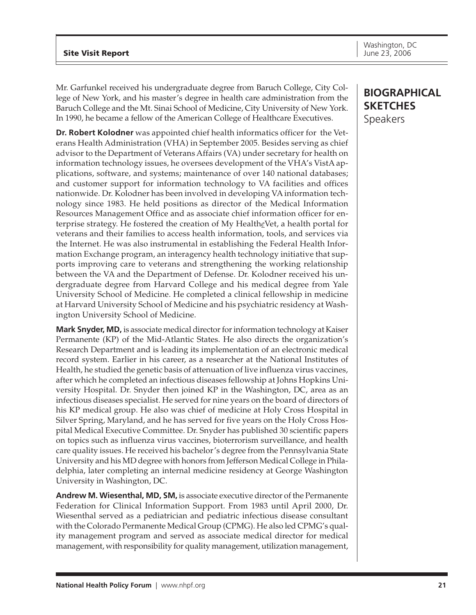Mr. Garfunkel received his undergraduate degree from Baruch College, City College of New York, and his master's degree in health care administration from the Baruch College and the Mt. Sinai School of Medicine, City University of New York. In 1990, he became a fellow of the American College of Healthcare Executives.

**Dr. Robert Kolodner** was appointed chief health informatics officer for the Veterans Health Administration (VHA) in September 2005. Besides serving as chief advisor to the Department of Veterans Affairs (VA) under secretary for health on information technology issues, he oversees development of the VHA's VistA applications, software, and systems; maintenance of over 140 national databases; and customer support for information technology to VA facilities and offices nationwide. Dr. Kolodner has been involved in developing VA information technology since 1983. He held positions as director of the Medical Information Resources Management Office and as associate chief information officer for enterprise strategy. He fostered the creation of My Health*e*Vet, a health portal for veterans and their families to access health information, tools, and services via the Internet. He was also instrumental in establishing the Federal Health Information Exchange program, an interagency health technology initiative that supports improving care to veterans and strengthening the working relationship between the VA and the Department of Defense. Dr. Kolodner received his undergraduate degree from Harvard College and his medical degree from Yale University School of Medicine. He completed a clinical fellowship in medicine at Harvard University School of Medicine and his psychiatric residency at Washington University School of Medicine.

**Mark Snyder, MD,** is associate medical director for information technology at Kaiser Permanente (KP) of the Mid-Atlantic States. He also directs the organization's Research Department and is leading its implementation of an electronic medical record system. Earlier in his career, as a researcher at the National Institutes of Health, he studied the genetic basis of attenuation of live influenza virus vaccines, after which he completed an infectious diseases fellowship at Johns Hopkins University Hospital. Dr. Snyder then joined KP in the Washington, DC, area as an infectious diseases specialist. He served for nine years on the board of directors of his KP medical group. He also was chief of medicine at Holy Cross Hospital in Silver Spring, Maryland, and he has served for five years on the Holy Cross Hospital Medical Executive Committee. Dr. Snyder has published 30 scientific papers on topics such as influenza virus vaccines, bioterrorism surveillance, and health care quality issues. He received his bachelor's degree from the Pennsylvania State University and his MD degree with honors from Jefferson Medical College in Philadelphia, later completing an internal medicine residency at George Washington University in Washington, DC.

**Andrew M. Wiesenthal, MD, SM,** is associate executive director of the Permanente Federation for Clinical Information Support. From 1983 until April 2000, Dr. Wiesenthal served as a pediatrician and pediatric infectious disease consultant with the Colorado Permanente Medical Group (CPMG). He also led CPMG's quality management program and served as associate medical director for medical management, with responsibility for quality management, utilization management,

## **BIOGRAPHICAL SKETCHES** Speakers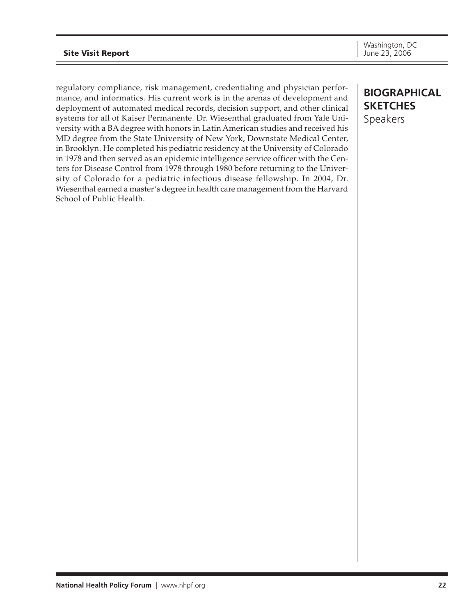regulatory compliance, risk management, credentialing and physician performance, and informatics. His current work is in the arenas of development and deployment of automated medical records, decision support, and other clinical systems for all of Kaiser Permanente. Dr. Wiesenthal graduated from Yale University with a BA degree with honors in Latin American studies and received his MD degree from the State University of New York, Downstate Medical Center, in Brooklyn. He completed his pediatric residency at the University of Colorado in 1978 and then served as an epidemic intelligence service officer with the Centers for Disease Control from 1978 through 1980 before returning to the University of Colorado for a pediatric infectious disease fellowship. In 2004, Dr. Wiesenthal earned a master's degree in health care management from the Harvard School of Public Health.

## **BIOGRAPHICAL SKETCHES** Speakers